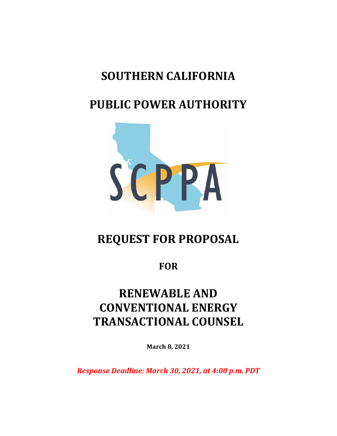# **SOUTHERN CALIFORNIA**

# **PUBLIC POWER AUTHORITY**



# **REQUEST FOR PROPOSAL**

**FOR** 

# **RENEWABLE AND CONVENTIONAL ENERGY TRANSACTIONAL COUNSEL**

**March 8, 2021** 

*Response Deadline: March 30, 2021, at 4:00 p.m. PDT*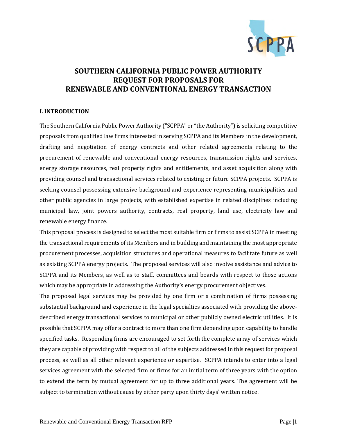

# **SOUTHERN CALIFORNIA PUBLIC POWER AUTHORITY REQUEST FOR PROPOSALS FOR RENEWABLE AND CONVENTIONAL ENERGY TRANSACTION**

# **I. INTRODUCTION**

The Southern California Public Power Authority ("SCPPA" or "the Authority") is soliciting competitive proposals from qualified law firms interested in serving SCPPA and its Members in the development, drafting and negotiation of energy contracts and other related agreements relating to the procurement of renewable and conventional energy resources, transmission rights and services, energy storage resources, real property rights and entitlements, and asset acquisition along with providing counsel and transactional services related to existing or future SCPPA projects. SCPPA is seeking counsel possessing extensive background and experience representing municipalities and other public agencies in large projects, with established expertise in related disciplines including municipal law, joint powers authority, contracts, real property, land use, electricity law and renewable energy finance.

This proposal process is designed to select the most suitable firm or firms to assist SCPPA in meeting the transactional requirements of its Members and in building and maintaining the most appropriate procurement processes, acquisition structures and operational measures to facilitate future as well as existing SCPPA energy projects. The proposed services will also involve assistance and advice to SCPPA and its Members, as well as to staff, committees and boards with respect to those actions which may be appropriate in addressing the Authority's energy procurement objectives.

The proposed legal services may be provided by one firm or a combination of firms possessing substantial background and experience in the legal specialties associated with providing the abovedescribed energy transactional services to municipal or other publicly owned electric utilities. It is possible that SCPPA may offer a contract to more than one firm depending upon capability to handle specified tasks. Responding firms are encouraged to set forth the complete array of services which they are capable of providing with respect to all of the subjects addressed in this request for proposal process, as well as all other relevant experience or expertise. SCPPA intends to enter into a legal services agreement with the selected firm or firms for an initial term of three years with the option to extend the term by mutual agreement for up to three additional years. The agreement will be subject to termination without cause by either party upon thirty days' written notice.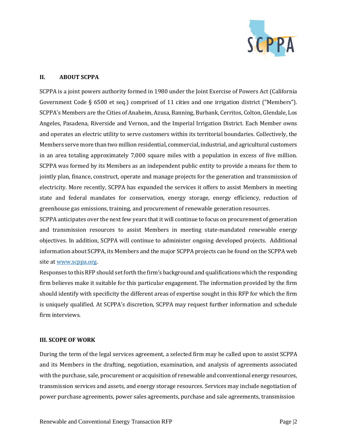

# **II. ABOUT SCPPA**

SCPPA is a joint powers authority formed in 1980 under the Joint Exercise of Powers Act (California Government Code § 6500 et seq.) comprised of 11 cities and one irrigation district ("Members"). SCPPA's Members are the Cities of Anaheim, Azusa, Banning, Burbank, Cerritos, Colton, Glendale, Los Angeles, Pasadena, Riverside and Vernon, and the Imperial Irrigation District. Each Member owns and operates an electric utility to serve customers within its territorial boundaries. Collectively, the Members serve more than two million residential, commercial, industrial, and agricultural customers in an area totaling approximately 7,000 square miles with a population in excess of five million. SCPPA was formed by its Members as an independent public entity to provide a means for them to jointly plan, finance, construct, operate and manage projects for the generation and transmission of electricity. More recently, SCPPA has expanded the services it offers to assist Members in meeting state and federal mandates for conservation, energy storage, energy efficiency, reduction of greenhouse gas emissions, training, and procurement of renewable generation resources.

SCPPA anticipates over the next few years that it will continue to focus on procurement of generation and transmission resources to assist Members in meeting state-mandated renewable energy objectives. In addition, SCPPA will continue to administer ongoing developed projects. Additional information about SCPPA, its Members and the major SCPPA projects can be found on the SCPPA web site at www.scppa.org.

Responses to this RFP should set forth the firm's background and qualifications which the responding firm believes make it suitable for this particular engagement. The information provided by the firm should identify with specificity the different areas of expertise sought in this RFP for which the firm is uniquely qualified. At SCPPA's discretion, SCPPA may request further information and schedule firm interviews.

# **III. SCOPE OF WORK**

During the term of the legal services agreement, a selected firm may be called upon to assist SCPPA and its Members in the drafting, negotiation, examination, and analysis of agreements associated with the purchase, sale, procurement or acquisition of renewable and conventional energy resources, transmission services and assets, and energy storage resources. Services may include negotiation of power purchase agreements, power sales agreements, purchase and sale agreements, transmission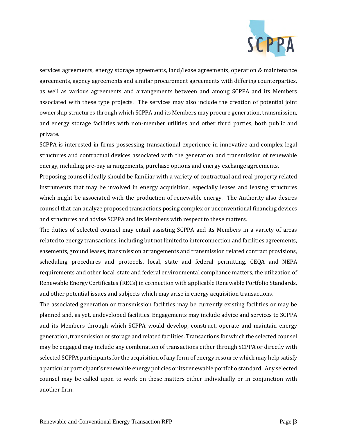

services agreements, energy storage agreements, land/lease agreements, operation & maintenance agreements, agency agreements and similar procurement agreements with differing counterparties, as well as various agreements and arrangements between and among SCPPA and its Members associated with these type projects. The services may also include the creation of potential joint ownership structures through which SCPPA and its Members may procure generation, transmission, and energy storage facilities with non-member utilities and other third parties, both public and private.

SCPPA is interested in firms possessing transactional experience in innovative and complex legal structures and contractual devices associated with the generation and transmission of renewable energy, including pre-pay arrangements, purchase options and energy exchange agreements.

Proposing counsel ideally should be familiar with a variety of contractual and real property related instruments that may be involved in energy acquisition, especially leases and leasing structures which might be associated with the production of renewable energy. The Authority also desires counsel that can analyze proposed transactions posing complex or unconventional financing devices and structures and advise SCPPA and its Members with respect to these matters.

The duties of selected counsel may entail assisting SCPPA and its Members in a variety of areas related to energy transactions, including but not limited to interconnection and facilities agreements, easements, ground leases, transmission arrangements and transmission related contract provisions, scheduling procedures and protocols, local, state and federal permitting, CEQA and NEPA requirements and other local, state and federal environmental compliance matters, the utilization of Renewable Energy Certificates (RECs) in connection with applicable Renewable Portfolio Standards, and other potential issues and subjects which may arise in energy acquisition transactions.

The associated generation or transmission facilities may be currently existing facilities or may be planned and, as yet, undeveloped facilities. Engagements may include advice and services to SCPPA and its Members through which SCPPA would develop, construct, operate and maintain energy generation, transmission or storage and related facilities. Transactions for which the selected counsel may be engaged may include any combination of transactions either through SCPPA or directly with selected SCPPA participants for the acquisition of any form of energy resource which may help satisfy a particular participant's renewable energy policies or its renewable portfolio standard. Any selected counsel may be called upon to work on these matters either individually or in conjunction with another firm.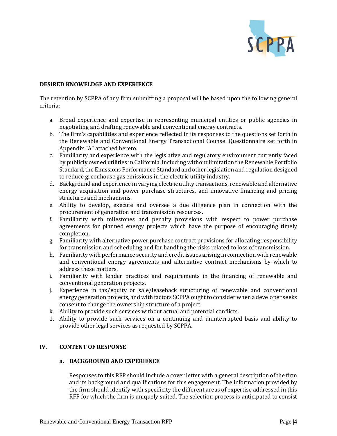

# **DESIRED KNOWELDGE AND EXPERIENCE**

The retention by SCPPA of any firm submitting a proposal will be based upon the following general criteria:

- a. Broad experience and expertise in representing municipal entities or public agencies in negotiating and drafting renewable and conventional energy contracts.
- b. The firm's capabilities and experience reflected in its responses to the questions set forth in the Renewable and Conventional Energy Transactional Counsel Questionnaire set forth in Appendix "A" attached hereto.
- c. Familiarity and experience with the legislative and regulatory environment currently faced by publicly owned utilities in California, including without limitation the Renewable Portfolio Standard, the Emissions Performance Standard and other legislation and regulation designed to reduce greenhouse gas emissions in the electric utility industry.
- d. Background and experience in varying electric utility transactions, renewable and alternative energy acquisition and power purchase structures, and innovative financing and pricing structures and mechanisms.
- e. Ability to develop, execute and oversee a due diligence plan in connection with the procurement of generation and transmission resources.
- f. Familiarity with milestones and penalty provisions with respect to power purchase agreements for planned energy projects which have the purpose of encouraging timely completion.
- g. Familiarity with alternative power purchase contract provisions for allocating responsibility for transmission and scheduling and for handling the risks related to loss of transmission.
- h. Familiarity with performance security and credit issues arising in connection with renewable and conventional energy agreements and alternative contract mechanisms by which to address these matters.
- i. Familiarity with lender practices and requirements in the financing of renewable and conventional generation projects.
- j. Experience in tax/equity or sale/leaseback structuring of renewable and conventional energy generation projects, and with factors SCPPA ought to consider when a developer seeks consent to change the ownership structure of a project.
- k. Ability to provide such services without actual and potential conflicts.
- 1. Ability to provide such services on a continuing and uninterrupted basis and ability to provide other legal services as requested by SCPPA.

# **IV. CONTENT OF RESPONSE**

# **a. BACKGROUND AND EXPERIENCE**

Responses to this RFP should include a cover letter with a general description of the firm and its background and qualifications for this engagement. The information provided by the firm should identify with specificity the different areas of expertise addressed in this RFP for which the firm is uniquely suited. The selection process is anticipated to consist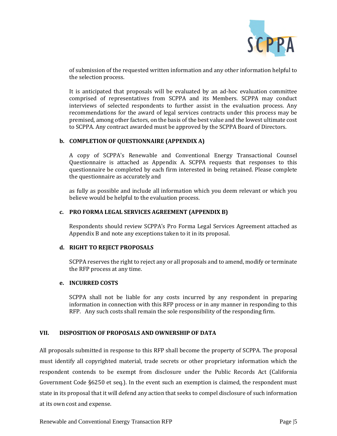

of submission of the requested written information and any other information helpful to the selection process.

It is anticipated that proposals will be evaluated by an ad-hoc evaluation committee comprised of representatives from SCPPA and its Members. SCPPA may conduct interviews of selected respondents to further assist in the evaluation process. Any recommendations for the award of legal services contracts under this process may be premised, among other factors, on the basis of the best value and the lowest ultimate cost to SCPPA. Any contract awarded must be approved by the SCPPA Board of Directors.

# **b. COMPLETION OF QUESTIONNAIRE (APPENDIX A)**

A copy of SCPPA's Renewable and Conventional Energy Transactional Counsel Questionnaire is attached as Appendix A. SCPPA requests that responses to this questionnaire be completed by each firm interested in being retained. Please complete the questionnaire as accurately and

as fully as possible and include all information which you deem relevant or which you believe would be helpful to the evaluation process.

# **c. PRO FORMA LEGAL SERVICES AGREEMENT (APPENDIX B)**

Respondents should review SCPPA's Pro Forma Legal Services Agreement attached as Appendix B and note any exceptions taken to it in its proposal.

# **d. RIGHT TO REJECT PROPOSALS**

SCPPA reserves the right to reject any or all proposals and to amend, modify or terminate the RFP process at any time.

# **e. INCURRED COSTS**

SCPPA shall not be liable for any costs incurred by any respondent in preparing information in connection with this RFP process or in any manner in responding to this RFP. Any such costs shall remain the sole responsibility of the responding firm.

# **VII. DISPOSITION OF PROPOSALS AND OWNERSHIP OF DATA**

All proposals submitted in response to this RFP shall become the property of SCPPA. The proposal must identify all copyrighted material, trade secrets or other proprietary information which the respondent contends to be exempt from disclosure under the Public Records Act (California Government Code §6250 et seq.). In the event such an exemption is claimed, the respondent must state in its proposal that it will defend any action that seeks to compel disclosure of such information at its own cost and expense.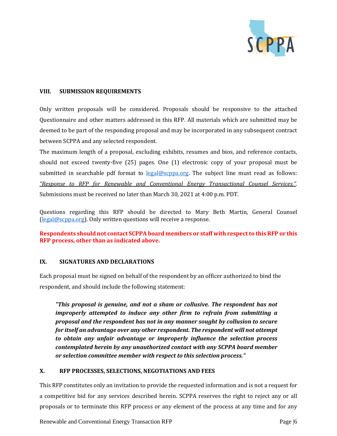

# **VIII. SUBMISSION REQUIREMENTS**

Only written proposals will be considered. Proposals should be responsive to the attached Questionnaire and other matters addressed in this RFP. All materials which are submitted may be deemed to be part of the responding proposal and may be incorporated in any subsequent contract between SCPPA and any selected respondent.

The maximum length of a proposal, excluding exhibits, resumes and bios, and reference contacts, should not exceed twenty-five (25) pages. One (1) electronic copy of your proposal must be submitted in searchable pdf format to legal@scppa.org. The subject line must read as follows: *"Response to RFP for Renewable and Conventional Energy Transactional Counsel Services."*. Submissions must be received no later than March 30, 2021 at 4:00 p.m. PDT.

Questions regarding this RFP should be directed to Mary Beth Martin, General Counsel (legal@scppa.org). Only written questions will receive a response.

**Respondents should not contact SCPPA board members or staff with respect to this RFP or this RFP process, other than as indicated above.** 

# **IX. SIGNATURES AND DECLARATIONS**

Each proposal must be signed on behalf of the respondent by an officer authorized to bind the respondent, and should include the following statement:

*"This proposal is genuine, and not a sham or collusive. The respondent has not improperly attempted to induce any other firm to refrain from submitting a proposal and the respondent has not in any manner sought by collusion to secure for itself an advantage over any other respondent. The respondent will not attempt to obtain any unfair advantage or improperly influence the selection process contemplated herein by any unauthorized contact with any SCPPA board member or selection committee member with respect to this selection process."* 

# **X. RFP PROCESSES, SELECTIONS, NEGOTIATIONS AND FEES**

This RFP constitutes only an invitation to provide the requested information and is not a request for a competitive bid for any services described herein. SCPPA reserves the right to reject any or all proposals or to terminate this RFP process or any element of the process at any time and for any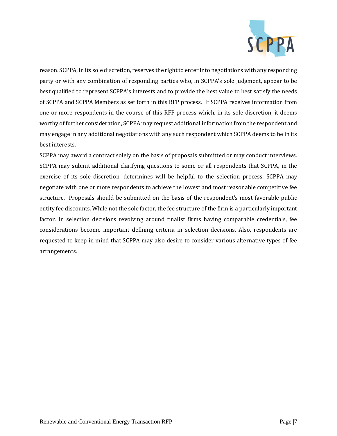

reason. SCPPA, in its sole discretion, reserves the right to enter into negotiations with any responding party or with any combination of responding parties who, in SCPPA's sole judgment, appear to be best qualified to represent SCPPA's interests and to provide the best value to best satisfy the needs of SCPPA and SCPPA Members as set forth in this RFP process. If SCPPA receives information from one or more respondents in the course of this RFP process which, in its sole discretion, it deems worthy of further consideration, SCPPA may request additional information from the respondent and may engage in any additional negotiations with any such respondent which SCPPA deems to be in its best interests.

SCPPA may award a contract solely on the basis of proposals submitted or may conduct interviews. SCPPA may submit additional clarifying questions to some or all respondents that SCPPA, in the exercise of its sole discretion, determines will be helpful to the selection process. SCPPA may negotiate with one or more respondents to achieve the lowest and most reasonable competitive fee structure. Proposals should be submitted on the basis of the respondent's most favorable public entity fee discounts. While not the sole factor, the fee structure of the firm is a particularly important factor. In selection decisions revolving around finalist firms having comparable credentials, fee considerations become important defining criteria in selection decisions. Also, respondents are requested to keep in mind that SCPPA may also desire to consider various alternative types of fee arrangements.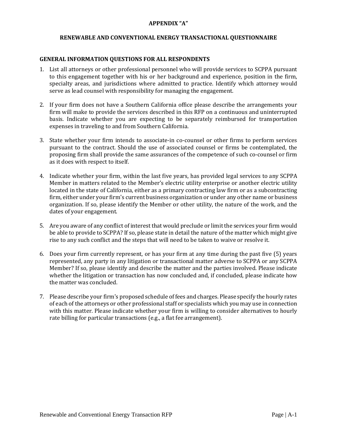# **APPENDIX "A"**

#### **RENEWABLE AND CONVENTIONAL ENERGY TRANSACTIONAL QUESTIONNAIRE**

#### **GENERAL INFORMATION QUESTIONS FOR ALL RESPONDENTS**

- 1. List all attorneys or other professional personnel who will provide services to SCPPA pursuant to this engagement together with his or her background and experience, position in the firm, specialty areas, and jurisdictions where admitted to practice. Identify which attorney would serve as lead counsel with responsibility for managing the engagement.
- 2. If your firm does not have a Southern California office please describe the arrangements your firm will make to provide the services described in this RFP on a continuous and uninterrupted basis. Indicate whether you are expecting to be separately reimbursed for transportation expenses in traveling to and from Southern California.
- 3. State whether your firm intends to associate-in co-counsel or other firms to perform services pursuant to the contract. Should the use of associated counsel or firms be contemplated, the proposing firm shall provide the same assurances of the competence of such co-counsel or firm as it does with respect to itself.
- 4. Indicate whether your firm, within the last five years, has provided legal services to any SCPPA Member in matters related to the Member's electric utility enterprise or another electric utility located in the state of California, either as a primary contracting law firm or as a subcontracting firm, either under your firm's current business organization or under any other name or business organization. If so, please identify the Member or other utility, the nature of the work, and the dates of your engagement.
- 5. Are you aware of any conflict of interest that would preclude or limit the services your firm would be able to provide to SCPPA? If so, please state in detail the nature of the matter which might give rise to any such conflict and the steps that will need to be taken to waive or resolve it.
- 6. Does your firm currently represent, or has your firm at any time during the past five (5) years represented, any party in any litigation or transactional matter adverse to SCPPA or any SCPPA Member? If so, please identify and describe the matter and the parties involved. Please indicate whether the litigation or transaction has now concluded and, if concluded, please indicate how the matter was concluded.
- 7. Please describe your firm's proposed schedule of fees and charges. Please specify the hourly rates of each of the attorneys or other professional staff or specialists which you may use in connection with this matter. Please indicate whether your firm is willing to consider alternatives to hourly rate billing for particular transactions (e.g., a flat fee arrangement).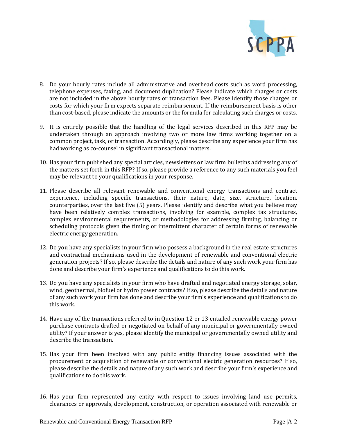

- 8. Do your hourly rates include all administrative and overhead costs such as word processing, telephone expenses, faxing, and document duplication? Please indicate which charges or costs are not included in the above hourly rates or transaction fees. Please identify those charges or costs for which your firm expects separate reimbursement. If the reimbursement basis is other than cost-based, please indicate the amounts or the formula for calculating such charges or costs.
- 9. It is entirely possible that the handling of the legal services described in this RFP may be undertaken through an approach involving two or more law firms working together on a common project, task, or transaction. Accordingly, please describe any experience your firm has had working as co-counsel in significant transactional matters.
- 10. Has your firm published any special articles, newsletters or law firm bulletins addressing any of the matters set forth in this RFP? If so, please provide a reference to any such materials you feel may be relevant to your qualifications in your response.
- 11. Please describe all relevant renewable and conventional energy transactions and contract experience, including specific transactions, their nature, date, size, structure, location, counterparties, over the last five (5) years. Please identify and describe what you believe may have been relatively complex transactions, involving for example, complex tax structures, complex environmental requirements, or methodologies for addressing firming, balancing or scheduling protocols given the timing or intermittent character of certain forms of renewable electric energy generation.
- 12. Do you have any specialists in your firm who possess a background in the real estate structures and contractual mechanisms used in the development of renewable and conventional electric generation projects? If so, please describe the details and nature of any such work your firm has done and describe your firm's experience and qualifications to do this work.
- 13. Do you have any specialists in your firm who have drafted and negotiated energy storage, solar, wind, geothermal, biofuel or hydro power contracts? If so, please describe the details and nature of any such work your firm has done and describe your firm's experience and qualifications to do this work.
- 14. Have any of the transactions referred to in Question 12 or 13 entailed renewable energy power purchase contracts drafted or negotiated on behalf of any municipal or governmentally owned utility? If your answer is yes, please identify the municipal or governmentally owned utility and describe the transaction.
- 15. Has your firm been involved with any public entity financing issues associated with the procurement or acquisition of renewable or conventional electric generation resources? If so, please describe the details and nature of any such work and describe your firm's experience and qualifications to do this work.
- 16. Has your firm represented any entity with respect to issues involving land use permits, clearances or approvals, development, construction, or operation associated with renewable or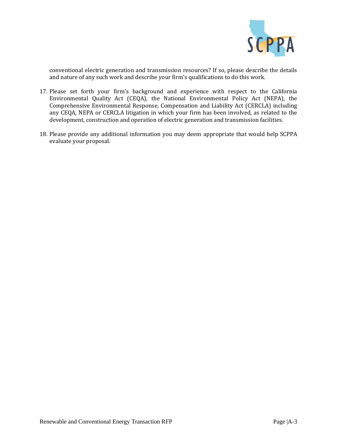

conventional electric generation and transmission resources? If so, please describe the details and nature of any such work and describe your firm's qualifications to do this work.

- 17. Please set forth your firm's background and experience with respect to the California Environmental Quality Act (CEQA), the National Environmental Policy Act (NEPA), the Comprehensive Environmental Response, Compensation and Liability Act (CERCLA) including any CEQA, NEPA or CERCLA litigation in which your firm has been involved, as related to the development, construction and operation of electric generation and transmission facilities.
- 18. Please provide any additional information you may deem appropriate that would help SCPPA evaluate your proposal.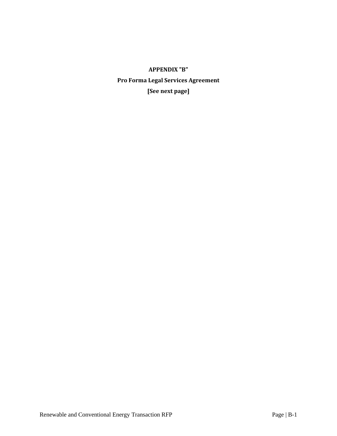# **APPENDIX "B" Pro Forma Legal Services Agreement [See next page]**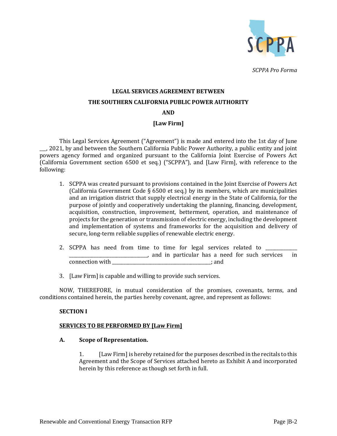

# **LEGAL SERVICES AGREEMENT BETWEEN THE SOUTHERN CALIFORNIA PUBLIC POWER AUTHORITY AND**

# **[Law Firm]**

This Legal Services Agreement ("Agreement") is made and entered into the 1st day of June \_\_\_, 2021, by and between the Southern California Public Power Authority, a public entity and joint powers agency formed and organized pursuant to the California Joint Exercise of Powers Act (California Government section 6500 et seq.) ("SCPPA"), and [Law Firm], with reference to the following:

- 1. SCPPA was created pursuant to provisions contained in the Joint Exercise of Powers Act (California Government Code § 6500 et seq.) by its members, which are municipalities and an irrigation district that supply electrical energy in the State of California, for the purpose of jointly and cooperatively undertaking the planning, financing, development, acquisition, construction, improvement, betterment, operation, and maintenance of projects for the generation or transmission of electric energy, including the development and implementation of systems and frameworks for the acquisition and delivery of secure, long-term reliable supplies of renewable electric energy.
- 2. SCPPA has need from time to time for legal services related to  $\overline{\phantom{a}}$ \_\_\_\_\_\_\_\_\_\_\_\_\_\_\_\_\_\_\_\_\_\_\_\_\_\_\_\_\_\_\_\_\_\_\_, and in particular has a need for such services in connection with  $\Box$
- 3. [Law Firm] is capable and willing to provide such services.

NOW, THEREFORE, in mutual consideration of the promises, covenants, terms, and conditions contained herein, the parties hereby covenant, agree, and represent as follows:

# **SECTION I**

# **SERVICES TO BE PERFORMED BY [Law Firm]**

# **A. Scope of Representation.**

1. [Law Firm] is hereby retained for the purposes described in the recitals to this Agreement and the Scope of Services attached hereto as Exhibit A and incorporated herein by this reference as though set forth in full.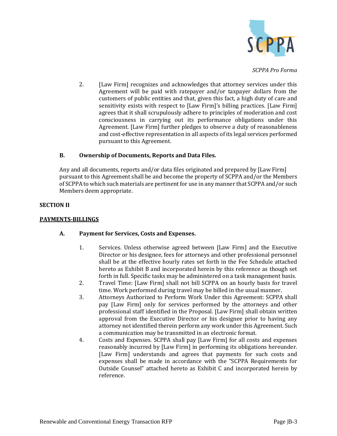

2. [Law Firm] recognizes and acknowledges that attorney services under this Agreement will be paid with ratepayer and/or taxpayer dollars from the customers of public entities and that, given this fact, a high duty of care and sensitivity exists with respect to [Law Firm]'s billing practices. [Law Firm] agrees that it shall scrupulously adhere to principles of moderation and cost consciousness in carrying out its performance obligations under this Agreement. [Law Firm] further pledges to observe a duty of reasonableness and cost-effective representation in all aspects of its legal services performed pursuant to this Agreement.

# **B. Ownership of Documents, Reports and Data Files.**

Any and all documents, reports and/or data files originated and prepared by [Law Firm] pursuant to this Agreement shall be and become the property of SCPPA and/or the Members of SCPPA to which such materials are pertinent for use in any manner that SCPPA and/or such Members deem appropriate.

# **SECTION II**

# **PAYMENTS-BILLINGS**

# **A. Payment for Services, Costs and Expenses.**

- 1. Services. Unless otherwise agreed between [Law Firm] and the Executive Director or his designee, fees for attorneys and other professional personnel shall be at the effective hourly rates set forth in the Fee Schedule attached hereto as Exhibit B and incorporated herein by this reference as though set forth in full. Specific tasks may be administered on a task management basis.
- 2. Travel Time: [Law Firm] shall not bill SCPPA on an hourly basis for travel time. Work performed during travel may be billed in the usual manner.
- 3. Attorneys Authorized to Perform Work Under this Agreement: SCPPA shall pay [Law Firm] only for services performed by the attorneys and other professional staff identified in the Proposal. [Law Firm] shall obtain written approval from the Executive Director or his designee prior to having any attorney not identified therein perform any work under this Agreement. Such a communication may be transmitted in an electronic format.
- 4. Costs and Expenses. SCPPA shall pay [Law Firm] for all costs and expenses reasonably incurred by [Law Firm] in performing its obligations hereunder. [Law Firm] understands and agrees that payments for such costs and expenses shall be made in accordance with the "SCPPA Requirements for Outside Counsel" attached hereto as Exhibit C and incorporated herein by reference.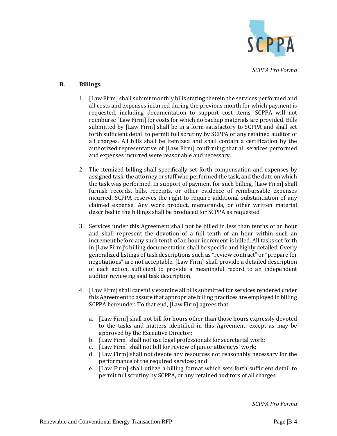

# **B. Billings.**

- 1. [Law Firm] shall submit monthly bills stating therein the services performed and all costs and expenses incurred during the previous month for which payment is requested, including documentation to support cost items. SCPPA will not reimburse [Law Firm] for costs for which no backup materials are provided. Bills submitted by [Law Firm] shall be in a form satisfactory to SCPPA and shall set forth sufficient detail to permit full scrutiny by SCPPA or any retained auditor of all charges. All bills shall be itemized and shall contain a certification by the authorized representative of [Law Firm] confirming that all services performed and expenses incurred were reasonable and necessary.
- 2. The itemized billing shall specifically set forth compensation and expenses by assigned task, the attorney or staff who performed the task, and the date on which the task was performed. In support of payment for such billing, [Law Firm] shall furnish records, bills, receipts, or other evidence of reimbursable expenses incurred. SCPPA reserves the right to require additional substantiation of any claimed expense. Any work product, memoranda, or other written material described in the billings shall be produced for SCPPA as requested.
- 3. Services under this Agreement shall not be billed in less than tenths of an hour and shall represent the devotion of a full tenth of an hour within such an increment before any such tenth of an hour increment is billed. All tasks set forth in [Law Firm]'s billing documentation shall be specific and highly detailed. Overly generalized listings of task descriptions such as "review contract" or "prepare for negotiations" are not acceptable. [Law Firm] shall provide a detailed description of each action, sufficient to provide a meaningful record to an independent auditor reviewing said task description.
- 4. [Law Firm] shall carefully examine all bills submitted for services rendered under this Agreement to assure that appropriate billing practices are employed in billing SCPPA hereunder. To that end, [Law Firm] agrees that:
	- a. [Law Firm] shall not bill for hours other than those hours expressly devoted to the tasks and matters identified in this Agreement, except as may be approved by the Executive Director;
	- b. [Law Firm] shall not use legal professionals for secretarial work;
	- c. [Law Firm] shall not bill for review of junior attorneys' work;
	- d. [Law Firm] shall not devote any resources not reasonably necessary for the performance of the required services; and
	- e. [Law Firm] shall utilize a billing format which sets forth sufficient detail to permit full scrutiny by SCPPA, or any retained auditors of all charges.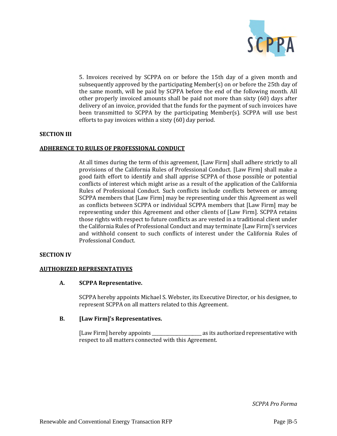

5. Invoices received by SCPPA on or before the 15th day of a given month and subsequently approved by the participating Member(s) on or before the 25th day of the same month, will be paid by SCPPA before the end of the following month. All other properly invoiced amounts shall be paid not more than sixty (60) days after delivery of an invoice, provided that the funds for the payment of such invoices have been transmitted to SCPPA by the participating Member(s). SCPPA will use best efforts to pay invoices within a sixty (60) day period.

# **SECTION III**

# **ADHERENCE TO RULES OF PROFESSIONAL CONDUCT**

At all times during the term of this agreement, [Law Firm] shall adhere strictly to all provisions of the California Rules of Professional Conduct. [Law Firm] shall make a good faith effort to identify and shall apprise SCPPA of those possible or potential conflicts of interest which might arise as a result of the application of the California Rules of Professional Conduct. Such conflicts include conflicts between or among SCPPA members that [Law Firm] may be representing under this Agreement as well as conflicts between SCPPA or individual SCPPA members that [Law Firm] may be representing under this Agreement and other clients of [Law Firm]. SCPPA retains those rights with respect to future conflicts as are vested in a traditional client under the California Rules of Professional Conduct and may terminate [Law Firm]'s services and withhold consent to such conflicts of interest under the California Rules of Professional Conduct.

# **SECTION IV**

# **AUTHORIZED REPRESENTATIVES**

# **A. SCPPA Representative.**

SCPPA hereby appoints Michael S. Webster, its Executive Director, or his designee, to represent SCPPA on all matters related to this Agreement.

# **B. [Law Firm]'s Representatives.**

[Law Firm] hereby appoints \_\_\_\_\_\_\_\_\_\_\_\_\_\_\_\_\_\_\_\_\_\_ as its authorized representative with respect to all matters connected with this Agreement.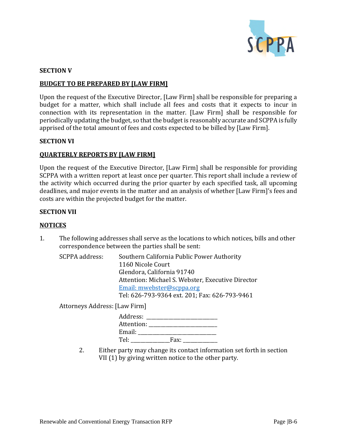

# **SECTION V**

# **BUDGET TO BE PREPARED BY [LAW FIRM]**

Upon the request of the Executive Director, [Law Firm] shall be responsible for preparing a budget for a matter, which shall include all fees and costs that it expects to incur in connection with its representation in the matter. [Law Firm] shall be responsible for periodically updating the budget, so that the budget is reasonably accurate and SCPPA is fully apprised of the total amount of fees and costs expected to be billed by [Law Firm].

# **SECTION VI**

# **QUARTERLY REPORTS BY [LAW FIRM]**

Upon the request of the Executive Director, [Law Firm] shall be responsible for providing SCPPA with a written report at least once per quarter. This report shall include a review of the activity which occurred during the prior quarter by each specified task, all upcoming deadlines, and major events in the matter and an analysis of whether [Law Firm]'s fees and costs are within the projected budget for the matter.

# **SECTION VII**

# **NOTICES**

1. The following addresses shall serve as the locations to which notices, bills and other correspondence between the parties shall be sent:

| SCPPA address: | Southern California Public Power Authority        |
|----------------|---------------------------------------------------|
|                | 1160 Nicole Court                                 |
|                | Glendora, California 91740                        |
|                | Attention: Michael S. Webster, Executive Director |
|                | Email: mwebster@scppa.org                         |
|                | Tel: 626-793-9364 ext. 201; Fax: 626-793-9461     |

Attorneys Address: [Law Firm]

| Address:   |      |  |
|------------|------|--|
| Attention: |      |  |
| Email:     |      |  |
| Tel:       | Fax: |  |

2. Either party may change its contact information set forth in section VII (1) by giving written notice to the other party.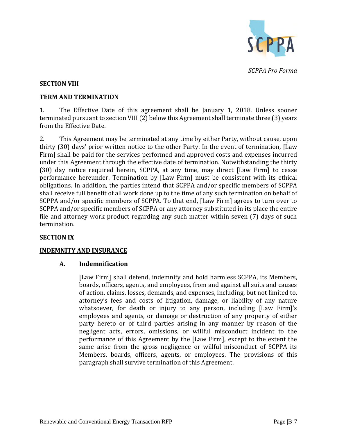

# **SECTION VIII**

# **TERM AND TERMINATION**

1. The Effective Date of this agreement shall be January 1, 2018. Unless sooner terminated pursuant to section VIII (2) below this Agreement shall terminate three (3) years from the Effective Date.

2. This Agreement may be terminated at any time by either Party, without cause, upon thirty (30) days' prior written notice to the other Party. In the event of termination, [Law Firm] shall be paid for the services performed and approved costs and expenses incurred under this Agreement through the effective date of termination. Notwithstanding the thirty (30) day notice required herein, SCPPA, at any time, may direct [Law Firm] to cease performance hereunder. Termination by [Law Firm] must be consistent with its ethical obligations. In addition, the parties intend that SCPPA and/or specific members of SCPPA shall receive full benefit of all work done up to the time of any such termination on behalf of SCPPA and/or specific members of SCPPA. To that end, [Law Firm] agrees to turn over to SCPPA and/or specific members of SCPPA or any attorney substituted in its place the entire file and attorney work product regarding any such matter within seven (7) days of such termination.

# **SECTION IX**

# **INDEMNITY AND INSURANCE**

# **A. Indemnification**

[Law Firm] shall defend, indemnify and hold harmless SCPPA, its Members, boards, officers, agents, and employees, from and against all suits and causes of action, claims, losses, demands, and expenses, including, but not limited to, attorney's fees and costs of litigation, damage, or liability of any nature whatsoever, for death or injury to any person, including [Law Firm]'s employees and agents, or damage or destruction of any property of either party hereto or of third parties arising in any manner by reason of the negligent acts, errors, omissions, or willful misconduct incident to the performance of this Agreement by the [Law Firm], except to the extent the same arise from the gross negligence or willful misconduct of SCPPA its Members, boards, officers, agents, or employees. The provisions of this paragraph shall survive termination of this Agreement.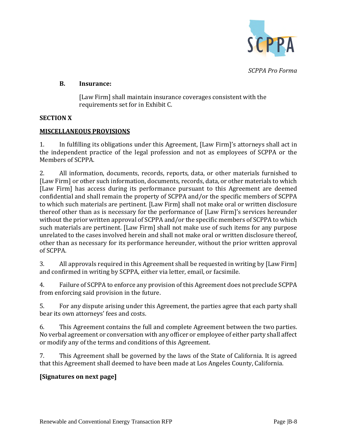

# **B. Insurance:**

[Law Firm] shall maintain insurance coverages consistent with the requirements set for in Exhibit C.

# **SECTION X**

# **MISCELLANEOUS PROVISIONS**

1. In fulfilling its obligations under this Agreement, [Law Firm]'s attorneys shall act in the independent practice of the legal profession and not as employees of SCPPA or the Members of SCPPA.

2. All information, documents, records, reports, data, or other materials furnished to [Law Firm] or other such information, documents, records, data, or other materials to which [Law Firm] has access during its performance pursuant to this Agreement are deemed confidential and shall remain the property of SCPPA and/or the specific members of SCPPA to which such materials are pertinent. [Law Firm] shall not make oral or written disclosure thereof other than as is necessary for the performance of [Law Firm]'s services hereunder without the prior written approval of SCPPA and/or the specific members of SCPPA to which such materials are pertinent. [Law Firm] shall not make use of such items for any purpose unrelated to the cases involved herein and shall not make oral or written disclosure thereof, other than as necessary for its performance hereunder, without the prior written approval of SCPPA.

3. All approvals required in this Agreement shall be requested in writing by [Law Firm] and confirmed in writing by SCPPA, either via letter, email, or facsimile.

4. Failure of SCPPA to enforce any provision of this Agreement does not preclude SCPPA from enforcing said provision in the future.

5. For any dispute arising under this Agreement, the parties agree that each party shall bear its own attorneys' fees and costs.

6. This Agreement contains the full and complete Agreement between the two parties. No verbal agreement or conversation with any officer or employee of either party shall affect or modify any of the terms and conditions of this Agreement.

7. This Agreement shall be governed by the laws of the State of California. It is agreed that this Agreement shall deemed to have been made at Los Angeles County, California.

# **[Signatures on next page]**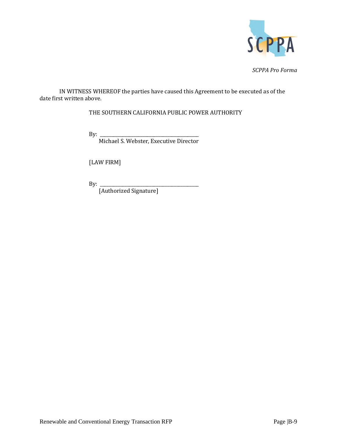

IN WITNESS WHEREOF the parties have caused this Agreement to be executed as of the date first written above.

THE SOUTHERN CALIFORNIA PUBLIC POWER AUTHORITY

By: \_\_\_\_\_\_\_\_\_\_\_\_\_\_\_\_\_\_\_\_\_\_\_\_\_\_\_\_\_\_\_\_\_\_\_\_\_\_\_\_\_\_\_\_

Michael S. Webster, Executive Director

[LAW FIRM]

By: \_\_\_\_\_\_\_\_\_\_\_\_\_\_\_\_\_\_\_\_\_\_\_\_\_\_\_\_\_\_\_\_\_\_\_\_\_\_\_\_\_\_\_\_

[Authorized Signature]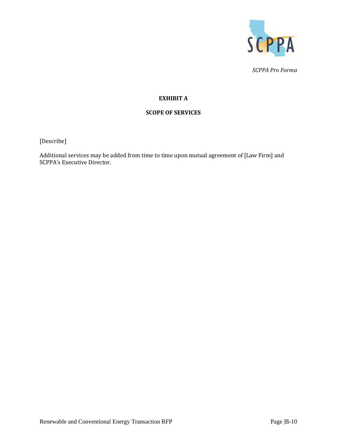

# **EXHIBIT A**

# **SCOPE OF SERVICES**

[Describe]

Additional services may be added from time to time upon mutual agreement of [Law Firm] and SCPPA's Executive Director.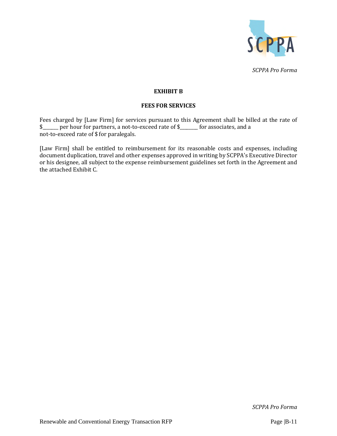

# **EXHIBIT B**

# **FEES FOR SERVICES**

Fees charged by [Law Firm] for services pursuant to this Agreement shall be billed at the rate of \$\_\_\_\_\_\_\_ per hour for partners, a not-to-exceed rate of \$\_\_\_\_\_\_\_\_ for associates, and a not-to-exceed rate of \$ for paralegals.

[Law Firm] shall be entitled to reimbursement for its reasonable costs and expenses, including document duplication, travel and other expenses approved in writing by SCPPA's Executive Director or his designee, all subject to the expense reimbursement guidelines set forth in the Agreement and the attached Exhibit C.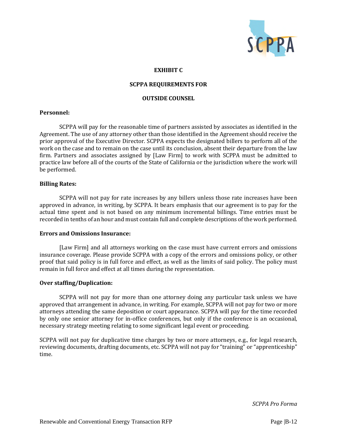

#### **EXHIBIT C**

#### **SCPPA REQUIREMENTS FOR**

#### **OUTSIDE COUNSEL**

#### **Personnel:**

SCPPA will pay for the reasonable time of partners assisted by associates as identified in the Agreement. The use of any attorney other than those identified in the Agreement should receive the prior approval of the Executive Director. SCPPA expects the designated billers to perform all of the work on the case and to remain on the case until its conclusion, absent their departure from the law firm. Partners and associates assigned by [Law Firm] to work with SCPPA must be admitted to practice law before all of the courts of the State of California or the jurisdiction where the work will be performed.

#### **Billing Rates:**

SCPPA will not pay for rate increases by any billers unless those rate increases have been approved in advance, in writing, by SCPPA. It bears emphasis that our agreement is to pay for the actual time spent and is not based on any minimum incremental billings. Time entries must be recorded in tenths of an hour and must contain full and complete descriptions of the work performed.

#### **Errors and Omissions Insurance:**

[Law Firm] and all attorneys working on the case must have current errors and omissions insurance coverage. Please provide SCPPA with a copy of the errors and omissions policy, or other proof that said policy is in full force and effect, as well as the limits of said policy. The policy must remain in full force and effect at all times during the representation.

# **Over staffing/Duplication:**

SCPPA will not pay for more than one attorney doing any particular task unless we have approved that arrangement in advance, in writing. For example, SCPPA will not pay for two or more attorneys attending the same deposition or court appearance. SCPPA will pay for the time recorded by only one senior attorney for in-office conferences, but only if the conference is an occasional, necessary strategy meeting relating to some significant legal event or proceeding.

SCPPA will not pay for duplicative time charges by two or more attorneys, e.g., for legal research, reviewing documents, drafting documents, etc. SCPPA will not pay for "training" or "apprenticeship" time.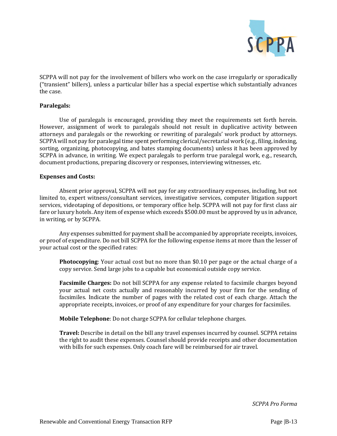

SCPPA will not pay for the involvement of billers who work on the case irregularly or sporadically ("transient" billers), unless a particular biller has a special expertise which substantially advances the case.

# **Paralegals:**

Use of paralegals is encouraged, providing they meet the requirements set forth herein. However, assignment of work to paralegals should not result in duplicative activity between attorneys and paralegals or the reworking or rewriting of paralegals' work product by attorneys. SCPPA will not pay for paralegal time spent performing clerical/secretarial work (e.g., filing, indexing, sorting, organizing, photocopying, and bates stamping documents) unless it has been approved by SCPPA in advance, in writing. We expect paralegals to perform true paralegal work, e.g., research, document productions, preparing discovery or responses, interviewing witnesses, etc.

#### **Expenses and Costs:**

Absent prior approval, SCPPA will not pay for any extraordinary expenses, including, but not limited to, expert witness/consultant services, investigative services, computer litigation support services, videotaping of depositions, or temporary office help. SCPPA will not pay for first class air fare or luxury hotels. Any item of expense which exceeds \$500.00 must be approved by us in advance, in writing, or by SCPPA.

Any expenses submitted for payment shall be accompanied by appropriate receipts, invoices, or proof of expenditure. Do not bill SCPPA for the following expense items at more than the lesser of your actual cost or the specified rates:

**Photocopying**: Your actual cost but no more than \$0.10 per page or the actual charge of a copy service. Send large jobs to a capable but economical outside copy service.

**Facsimile Charges:** Do not bill SCPPA for any expense related to facsimile charges beyond your actual net costs actually and reasonably incurred by your firm for the sending of facsimiles. Indicate the number of pages with the related cost of each charge. Attach the appropriate receipts, invoices, or proof of any expenditure for your charges for facsimiles.

**Mobile Telephone**: Do not charge SCPPA for cellular telephone charges.

**Travel:** Describe in detail on the bill any travel expenses incurred by counsel. SCPPA retains the right to audit these expenses. Counsel should provide receipts and other documentation with bills for such expenses. Only coach fare will be reimbursed for air travel.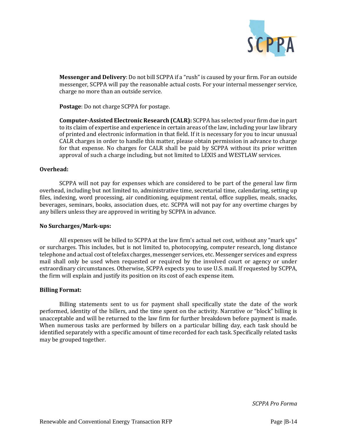

**Messenger and Delivery**: Do not bill SCPPA if a "rush" is caused by your firm. For an outside messenger, SCPPA will pay the reasonable actual costs. For your internal messenger service, charge no more than an outside service.

**Postage**: Do not charge SCPPA for postage.

**Computer-Assisted Electronic Research (CALR):** SCPPA has selected your firm due in part to its claim of expertise and experience in certain areas of the law, including your law library of printed and electronic information in that field. If it is necessary for you to incur unusual CALR charges in order to handle this matter, please obtain permission in advance to charge for that expense. No charges for CALR shall be paid by SCPPA without its prior written approval of such a charge including, but not limited to LEXIS and WESTLAW services.

#### **Overhead:**

SCPPA will not pay for expenses which are considered to be part of the general law firm overhead, including but not limited to, administrative time, secretarial time, calendaring, setting up files, indexing, word processing, air conditioning, equipment rental, office supplies, meals, snacks, beverages, seminars, books, association dues, etc. SCPPA will not pay for any overtime charges by any billers unless they are approved in writing by SCPPA in advance.

#### **No Surcharges/Mark-ups:**

All expenses will be billed to SCPPA at the law firm's actual net cost, without any "mark ups" or surcharges. This includes, but is not limited to, photocopying, computer research, long distance telephone and actual cost of telefax charges, messenger services, etc. Messenger services and express mail shall only be used when requested or required by the involved court or agency or under extraordinary circumstances. Otherwise, SCPPA expects you to use U.S. mail. If requested by SCPPA, the firm will explain and justify its position on its cost of each expense item.

#### **Billing Format:**

Billing statements sent to us for payment shall specifically state the date of the work performed, identity of the billers, and the time spent on the activity. Narrative or "block" billing is unacceptable and will be returned to the law firm for further breakdown before payment is made. When numerous tasks are performed by billers on a particular billing day, each task should be identified separately with a specific amount of time recorded for each task. Specifically related tasks may be grouped together.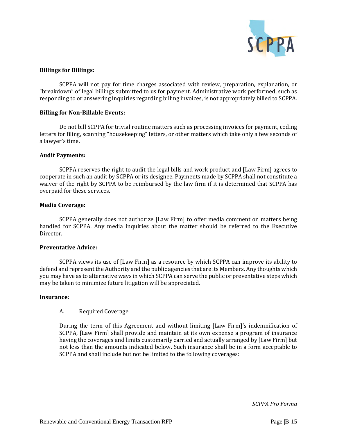

# **Billings for Billings:**

SCPPA will not pay for time charges associated with review, preparation, explanation, or "breakdown" of legal billings submitted to us for payment. Administrative work performed, such as responding to or answering inquiries regarding billing invoices, is not appropriately billed to SCPPA.

# **Billing for Non-Billable Events:**

Do not bill SCPPA for trivial routine matters such as processing invoices for payment, coding letters for filing, scanning "housekeeping" letters, or other matters which take only a few seconds of a lawyer's time.

#### **Audit Payments:**

SCPPA reserves the right to audit the legal bills and work product and [Law Firm] agrees to cooperate in such an audit by SCPPA or its designee. Payments made by SCPPA shall not constitute a waiver of the right by SCPPA to be reimbursed by the law firm if it is determined that SCPPA has overpaid for these services.

#### **Media Coverage:**

SCPPA generally does not authorize [Law Firm] to offer media comment on matters being handled for SCPPA. Any media inquiries about the matter should be referred to the Executive Director.

# **Preventative Advice:**

SCPPA views its use of [Law Firm] as a resource by which SCPPA can improve its ability to defend and represent the Authority and the public agencies that are its Members. Any thoughts which you may have as to alternative ways in which SCPPA can serve the public or preventative steps which may be taken to minimize future litigation will be appreciated.

#### **Insurance:**

# A. Required Coverage

During the term of this Agreement and without limiting [Law Firm]'s indemnification of SCPPA, [Law Firm] shall provide and maintain at its own expense a program of insurance having the coverages and limits customarily carried and actually arranged by [Law Firm] but not less than the amounts indicated below. Such insurance shall be in a form acceptable to SCPPA and shall include but not be limited to the following coverages: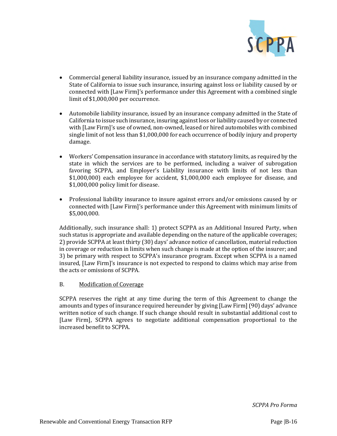

- Commercial general liability insurance, issued by an insurance company admitted in the State of California to issue such insurance, insuring against loss or liability caused by or connected with [Law Firm]'s performance under this Agreement with a combined single limit of \$1,000,000 per occurrence.
- Automobile liability insurance, issued by an insurance company admitted in the State of California to issue such insurance, insuring against loss or liability caused by or connected with [Law Firm]'s use of owned, non-owned, leased or hired automobiles with combined single limit of not less than \$1,000,000 for each occurrence of bodily injury and property damage.
- Workers' Compensation insurance in accordance with statutory limits, as required by the state in which the services are to be performed, including a waiver of subrogation favoring SCPPA, and Employer's Liability insurance with limits of not less than \$1,000,000) each employee for accident, \$1,000,000 each employee for disease, and \$1,000,000 policy limit for disease.
- Professional liability insurance to insure against errors and/or omissions caused by or connected with [Law Firm]'s performance under this Agreement with minimum limits of \$5,000,000.

Additionally, such insurance shall: 1) protect SCPPA as an Additional Insured Party, when such status is appropriate and available depending on the nature of the applicable coverages; 2) provide SCPPA at least thirty (30) days' advance notice of cancellation, material reduction in coverage or reduction in limits when such change is made at the option of the insurer; and 3) be primary with respect to SCPPA's insurance program. Except when SCPPA is a named insured, [Law Firm]'s insurance is not expected to respond to claims which may arise from the acts or omissions of SCPPA.

# B. Modification of Coverage

SCPPA reserves the right at any time during the term of this Agreement to change the amounts and types of insurance required hereunder by giving [Law Firm] (90) days' advance written notice of such change. If such change should result in substantial additional cost to [Law Firm], SCPPA agrees to negotiate additional compensation proportional to the increased benefit to SCPPA.